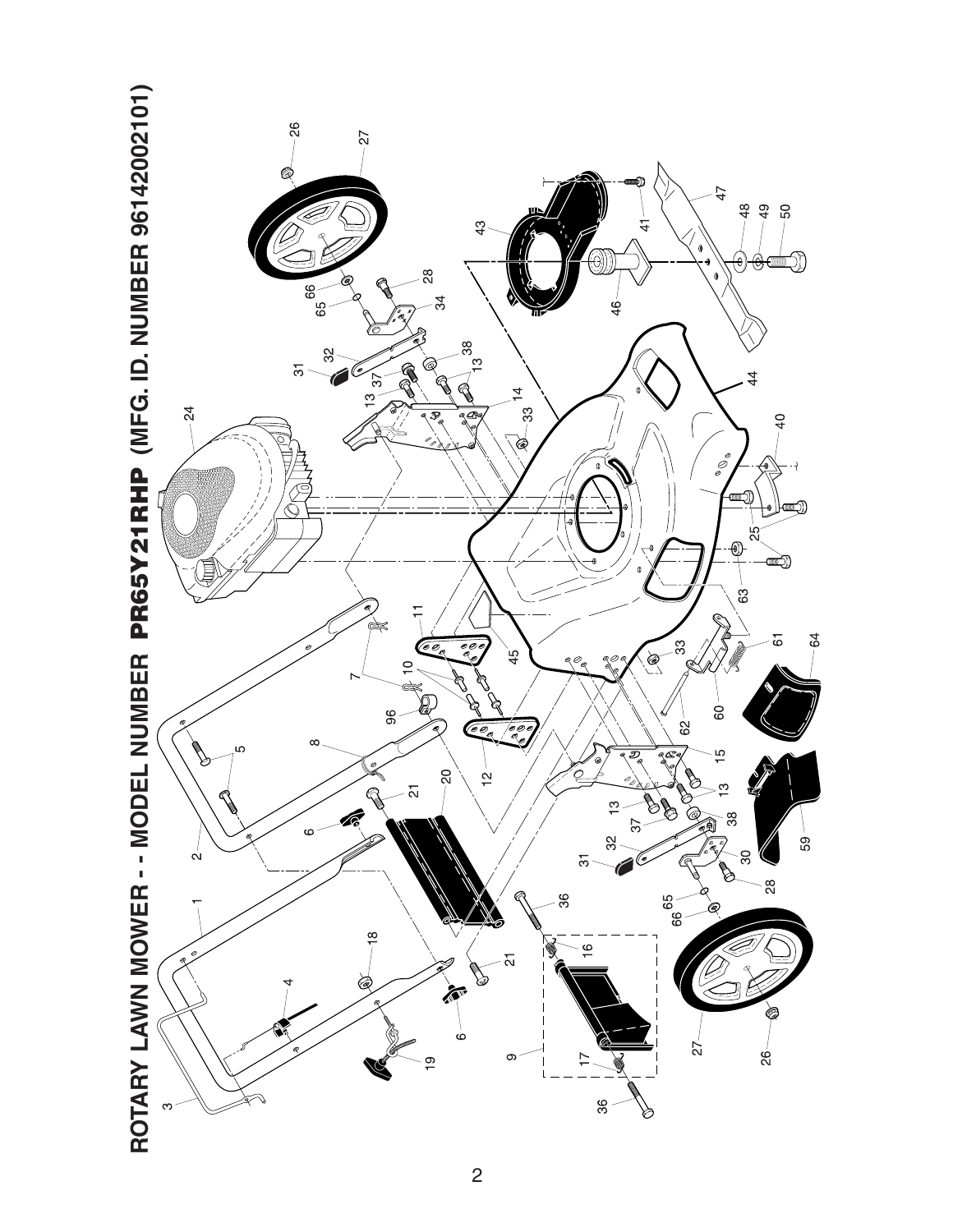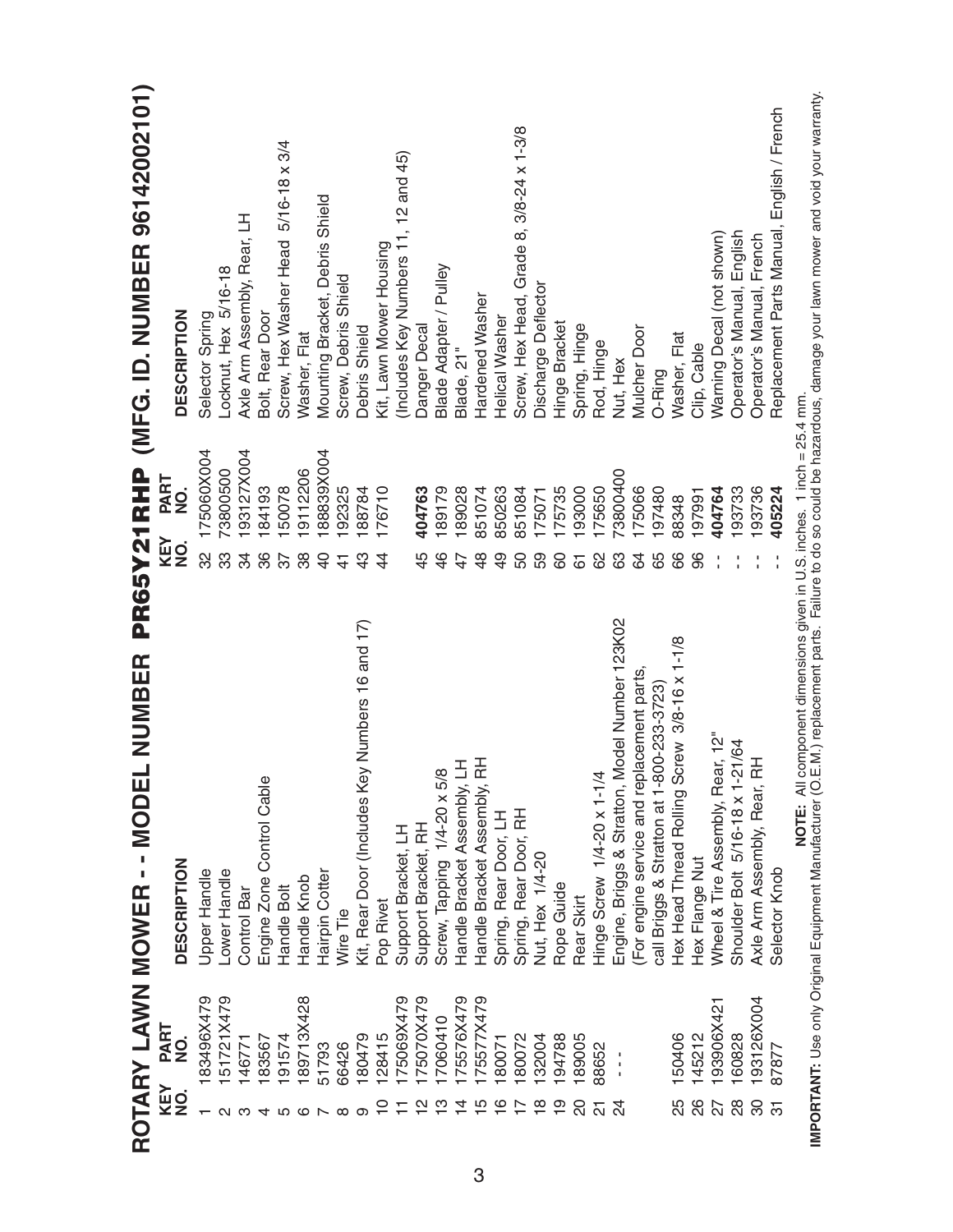|                |                       | NUMBER<br>$\overline{\mathbf{I}}$<br>ROTARY LAWN MOWER -- MODE         | PR65Y21RHP                                  | (MFG. ID. NUMBER 96142002101)              |
|----------------|-----------------------|------------------------------------------------------------------------|---------------------------------------------|--------------------------------------------|
| KEY<br>NO.     | PART<br>$\frac{1}{2}$ | <b>DESCRIPTION</b>                                                     | PART<br>o<br>Z<br>KEY<br>$\dot{\mathbf{z}}$ | <b>DESCRIPTION</b>                         |
|                | 183496X479            | Upper Handle                                                           | 175060X004<br>32                            | Selector Spring                            |
|                | 151721X479            | Lower Handle                                                           | 73800500<br>33                              | Locknut, Hex 5/16-18                       |
|                | 146771                | Control Bar                                                            | 193127X004<br>34                            | Axle Arm Assembly, Rear, LH                |
|                | 183567                | Engine Zone Control Cable                                              | 184193<br>86                                | Bolt, Rear Door                            |
|                | 191574                | Handle Bolt                                                            | 50078<br>57                                 | 5/16-18 x 3/4<br>Screw, Hex Washer Head    |
|                | 189713X428            | Handle Knob                                                            | 19112206<br>38                              | Washer, Flat                               |
|                | 51793                 | Hairpin Cotter                                                         | 88839X004<br>$\overline{4}$                 | Mounting Bracket, Debris Shield            |
| ∞              | 66426                 | Wire Tie                                                               | 192325<br>$\frac{4}{3}$                     | Screw, Debris Shield                       |
| თ              | 180479                | Kit, Rear Door (Includes Key Numbers 16 and 17)                        | 188784<br>$\frac{3}{4}$                     | <b>Debris Shield</b>                       |
|                | 128415                | Pop Rivet                                                              | 176710<br>$\overline{4}$                    | Kit, Lawn Mower Housing                    |
|                | 175069X479            | Support Bracket, LH                                                    |                                             | (Includes Key Numbers 11, 12 and 45)       |
| $\frac{1}{2}$  | 175070X479            | Support Bracket, RH                                                    | 404763<br>45                                | <b>Danger Decal</b>                        |
|                | 17060410              | Screw, Tapping 1/4-20 x 5/8                                            | 189179<br>$\frac{4}{6}$                     | Blade Adapter / Pulley                     |
| $\dot{4}$      | 175576X479            | Handle Bracket Assembly, LH                                            | 189028<br>$\overline{4}$                    | Blade, 21"                                 |
|                | 175577X479            | Handle Bracket Assembly, RH                                            | 851074<br>$\frac{8}{4}$                     | Hardened Washer                            |
| $\frac{6}{1}$  | 180071                | Spring, Rear Door, LH                                                  | 850263<br>$\overline{9}$                    | Helical Washer                             |
|                | 180072                | Spring, Rear Door, RH                                                  | 851084<br>50                                | Screw, Hex Head, Grade 8, 3/8-24 x 1-3/8   |
| $\frac{8}{10}$ | 132004                | Nut, Hex 1/4-20                                                        | 175071<br>59                                | Discharge Deflector                        |
|                | 194788                | Rope Guide                                                             | 175735<br>80                                | Hinge Bracket                              |
| SO             | 189005                | Rear Skirt                                                             | 193000<br>$\overline{6}$                    | Spring, Hinge                              |
| 21             | 88652                 | Hinge Screw 1/4-20 x 1-1/4                                             | 175650<br>8                                 | Rod, Hinge                                 |
|                | $\frac{1}{1}$         | Engine, Briggs & Stratton, Model Number 123K02                         | 73800400<br>යි                              | Nut, Hex                                   |
|                |                       | (For engine service and replacement parts,                             | 175066<br>84                                | <b>Mulcher Door</b>                        |
|                |                       | call Briggs & Stratton at 1-800-233-3723)                              | 197480<br>65                                | O-Ring                                     |
| 25             | 150406                | Hex Head Thread Rolling Screw 3/8-16 x 1-1/8                           | 88348<br>89                                 | Washer, Flat                               |
| 26             | 145212                | Hex Flange Nut                                                         | 197991<br>86                                | Clip, Cable                                |
| 22             | 193906X421            | Wheel & Tire Assembly, Rear, 12"                                       | 404764                                      | Warning Decal (not shown)                  |
| 28             | 160828                | Shoulder Bolt 5/16-18 x 1-21/64                                        | 193733                                      | Operator's Manual, English                 |
| 80             | 193126X004            | Axle Arm Assembly, Rear, RH                                            | 193736                                      | Operator's Manual, French                  |
| $\overline{5}$ | 87877                 | Selector Knob                                                          | 405224                                      | Replacement Parts Manual, English / French |
|                |                       | NOTE: All component dimensions given in U.S. inches. 1 inch = 25.4 mm. |                                             |                                            |

IMPORTANT: Use only Original Equipment Manufacturer (O.E.M.) replacement parts. Failure to do so could be hazardous, damage your lawn mower and void your warranty. **IMPORTANT:** Use only Original Equipment Manufacturer (O.E.M.) replacement parts. Failure to do so could be hazardous, damage your lawn mower and void your warranty.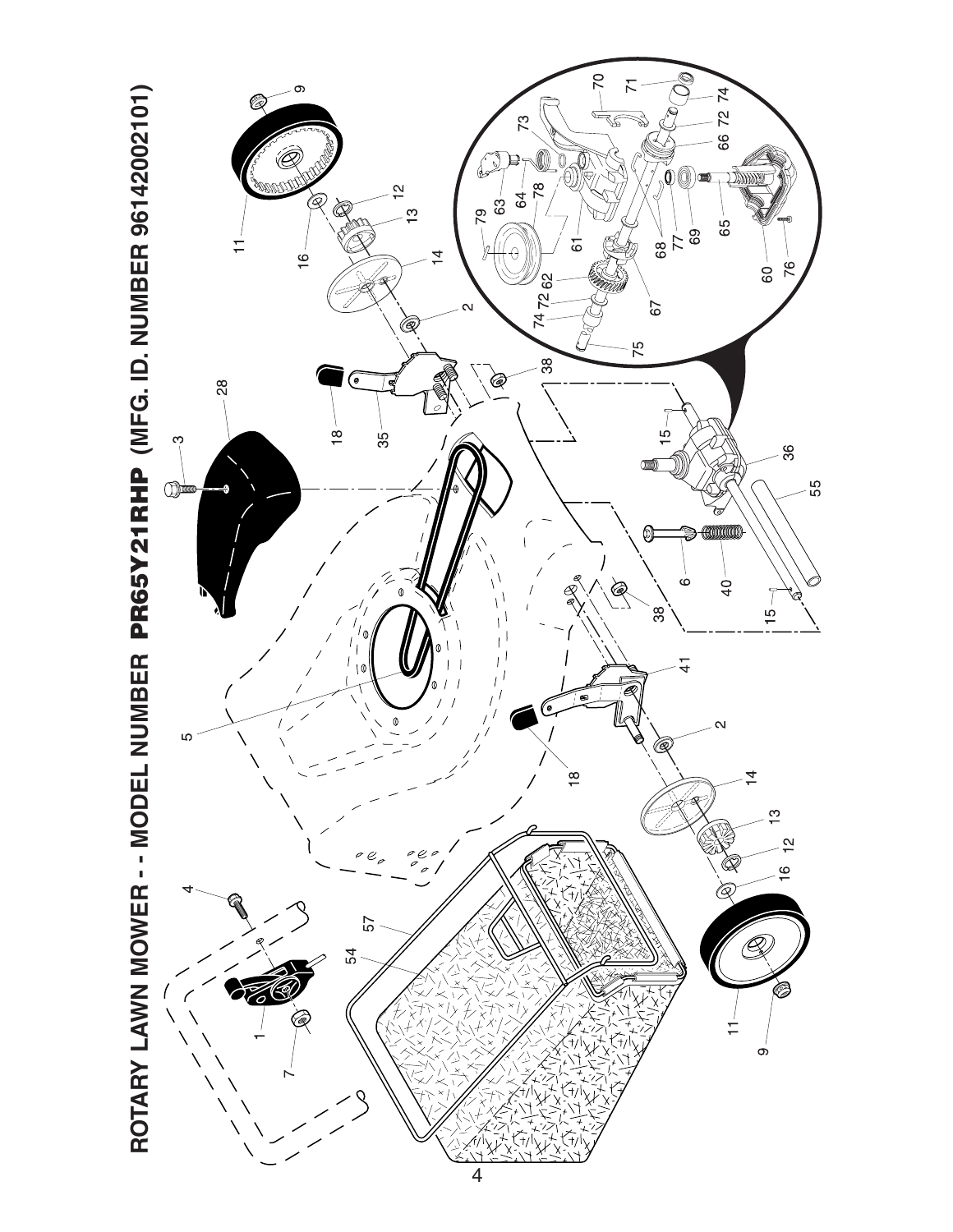